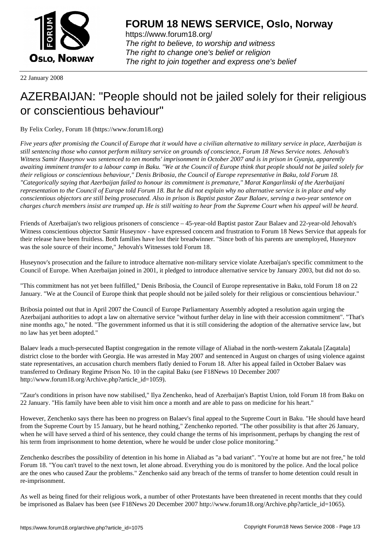

https://www.forum18.org/ The right to believe, to worship and witness The right to change one's belief or religion [The right to join together a](https://www.forum18.org/)nd express one's belief

22 January 2008

## [AZERBAIJAN: "](https://www.forum18.org)People should not be jailed solely for their religious or conscientious behaviour"

By Felix Corley, Forum 18 (https://www.forum18.org)

*Five years after promising the Council of Europe that it would have a civilian alternative to military service in place, Azerbaijan is still sentencing those who cannot perform military service on grounds of conscience, Forum 18 News Service notes. Jehovah's Witness Samir Huseynov was sentenced to ten months' imprisonment in October 2007 and is in prison in Gyanja, apparently awaiting imminent transfer to a labour camp in Baku. "We at the Council of Europe think that people should not be jailed solely for their religious or conscientious behaviour," Denis Bribosia, the Council of Europe representative in Baku, told Forum 18. "Categorically saying that Azerbaijan failed to honour its commitment is premature," Marat Kangarlinski of the Azerbaijani representation to the Council of Europe told Forum 18. But he did not explain why no alternative service is in place and why conscientious objectors are still being prosecuted. Also in prison is Baptist pastor Zaur Balaev, serving a two-year sentence on charges church members insist are trumped up. He is still waiting to hear from the Supreme Court when his appeal will be heard.*

Friends of Azerbaijan's two religious prisoners of conscience – 45-year-old Baptist pastor Zaur Balaev and 22-year-old Jehovah's Witness conscientious objector Samir Huseynov - have expressed concern and frustration to Forum 18 News Service that appeals for their release have been fruitless. Both families have lost their breadwinner. "Since both of his parents are unemployed, Huseynov was the sole source of their income," Jehovah's Witnesses told Forum 18.

Huseynov's prosecution and the failure to introduce alternative non-military service violate Azerbaijan's specific commitment to the Council of Europe. When Azerbaijan joined in 2001, it pledged to introduce alternative service by January 2003, but did not do so.

"This commitment has not yet been fulfilled," Denis Bribosia, the Council of Europe representative in Baku, told Forum 18 on 22 January. "We at the Council of Europe think that people should not be jailed solely for their religious or conscientious behaviour."

Bribosia pointed out that in April 2007 the Council of Europe Parliamentary Assembly adopted a resolution again urging the Azerbaijani authorities to adopt a law on alternative service "without further delay in line with their accession commitment". "That's nine months ago," he noted. "The government informed us that it is still considering the adoption of the alternative service law, but no law has yet been adopted."

Balaev leads a much-persecuted Baptist congregation in the remote village of Aliabad in the north-western Zakatala [Zaqatala] district close to the border with Georgia. He was arrested in May 2007 and sentenced in August on charges of using violence against state representatives, an accusation church members flatly denied to Forum 18. After his appeal failed in October Balaev was transferred to Ordinary Regime Prison No. 10 in the capital Baku (see F18News 10 December 2007 http://www.forum18.org/Archive.php?article\_id=1059).

"Zaur's conditions in prison have now stabilised," Ilya Zenchenko, head of Azerbaijan's Baptist Union, told Forum 18 from Baku on 22 January. "His family have been able to visit him once a month and are able to pass on medicine for his heart."

However, Zenchenko says there has been no progress on Balaev's final appeal to the Supreme Court in Baku. "He should have heard from the Supreme Court by 15 January, but he heard nothing," Zenchenko reported. "The other possibility is that after 26 January, when he will have served a third of his sentence, they could change the terms of his imprisonment, perhaps by changing the rest of his term from imprisonment to home detention, where he would be under close police monitoring."

Zenchenko describes the possibility of detention in his home in Aliabad as "a bad variant". "You're at home but are not free," he told Forum 18. "You can't travel to the next town, let alone abroad. Everything you do is monitored by the police. And the local police are the ones who caused Zaur the problems." Zenchenko said any breach of the terms of transfer to home detention could result in re-imprisonment.

As well as being fined for their religious work, a number of other Protestants have been threatened in recent months that they could be imprisoned as Balaev has been (see F18News 20 December 2007 http://www.forum18.org/Archive.php?article\_id=1065).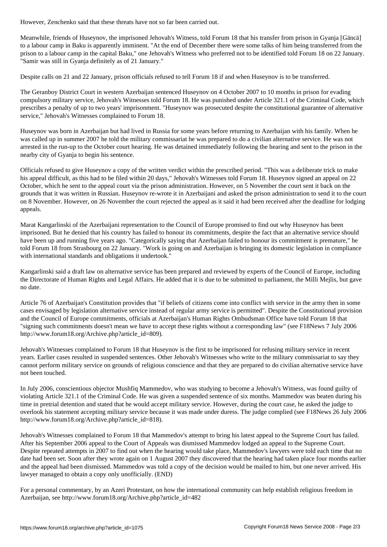Meanwhile, friends of Huseynov, the imprisoned Jehovah's Witness, told Forum 18 that his transfer from prison in Gyanja [Gäncä] to a labour camp in Baku is apparently imminent. "At the end of December there were some talks of him being transferred from the prison to a labour camp in the capital Baku," one Jehovah's Witness who preferred not to be identified told Forum 18 on 22 January. "Samir was still in Gyanja definitely as of 21 January."

Despite calls on 21 and 22 January, prison officials refused to tell Forum 18 if and when Huseynov is to be transferred.

The Geranboy District Court in western Azerbaijan sentenced Huseynov on 4 October 2007 to 10 months in prison for evading compulsory military service, Jehovah's Witnesses told Forum 18. He was punished under Article 321.1 of the Criminal Code, which prescribes a penalty of up to two years' imprisonment. "Huseynov was prosecuted despite the constitutional guarantee of alternative service," Jehovah's Witnesses complained to Forum 18.

Huseynov was born in Azerbaijan but had lived in Russia for some years before returning to Azerbaijan with his family. When he was called up in summer 2007 he told the military commissariat he was prepared to do a civilian alternative service. He was not arrested in the run-up to the October court hearing. He was detained immediately following the hearing and sent to the prison in the nearby city of Gyanja to begin his sentence.

Officials refused to give Huseynov a copy of the written verdict within the prescribed period. "This was a deliberate trick to make his appeal difficult, as this had to be filed within 20 days," Jehovah's Witnesses told Forum 18. Huseynov signed an appeal on 22 October, which he sent to the appeal court via the prison administration. However, on 5 November the court sent it back on the grounds that it was written in Russian. Huseynov re-wrote it in Azerbaijani and asked the prison administration to send it to the court on 8 November. However, on 26 November the court rejected the appeal as it said it had been received after the deadline for lodging appeals.

Marat Kangarlinski of the Azerbaijani representation to the Council of Europe promised to find out why Huseynov has been imprisoned. But he denied that his country has failed to honour its commitments, despite the fact that an alternative service should have been up and running five years ago. "Categorically saying that Azerbaijan failed to honour its commitment is premature," he told Forum 18 from Strasbourg on 22 January. "Work is going on and Azerbaijan is bringing its domestic legislation in compliance with international standards and obligations it undertook."

Kangarlinski said a draft law on alternative service has been prepared and reviewed by experts of the Council of Europe, including the Directorate of Human Rights and Legal Affairs. He added that it is due to be submitted to parliament, the Milli Mejlis, but gave no date.

Article 76 of Azerbaijan's Constitution provides that "if beliefs of citizens come into conflict with service in the army then in some cases envisaged by legislation alternative service instead of regular army service is permitted". Despite the Constitutional provision and the Council of Europe commitments, officials at Azerbaijan's Human Rights Ombudsman Office have told Forum 18 that "signing such commitments doesn't mean we have to accept these rights without a corresponding law" (see F18News 7 July 2006 http://www.forum18.org/Archive.php?article\_id=809).

Jehovah's Witnesses complained to Forum 18 that Huseynov is the first to be imprisoned for refusing military service in recent years. Earlier cases resulted in suspended sentences. Other Jehovah's Witnesses who write to the military commissariat to say they cannot perform military service on grounds of religious conscience and that they are prepared to do civilian alternative service have not been touched.

In July 2006, conscientious objector Mushfiq Mammedov, who was studying to become a Jehovah's Witness, was found guilty of violating Article 321.1 of the Criminal Code. He was given a suspended sentence of six months. Mammedov was beaten during his time in pretrial detention and stated that he would accept military service. However, during the court case, he asked the judge to overlook his statement accepting military service because it was made under duress. The judge complied (see F18News 26 July 2006 http://www.forum18.org/Archive.php?article\_id=818).

Jehovah's Witnesses complained to Forum 18 that Mammedov's attempt to bring his latest appeal to the Supreme Court has failed. After his September 2006 appeal to the Court of Appeals was dismissed Mammedov lodged an appeal to the Supreme Court. Despite repeated attempts in 2007 to find out when the hearing would take place, Mammedov's lawyers were told each time that no date had been set. Soon after they wrote again on 1 August 2007 they discovered that the hearing had taken place four months earlier and the appeal had been dismissed. Mammedov was told a copy of the decision would be mailed to him, but one never arrived. His lawyer managed to obtain a copy only unofficially. (END)

For a personal commentary, by an Azeri Protestant, on how the international community can help establish religious freedom in Azerbaijan, see http://www.forum18.org/Archive.php?article\_id=482